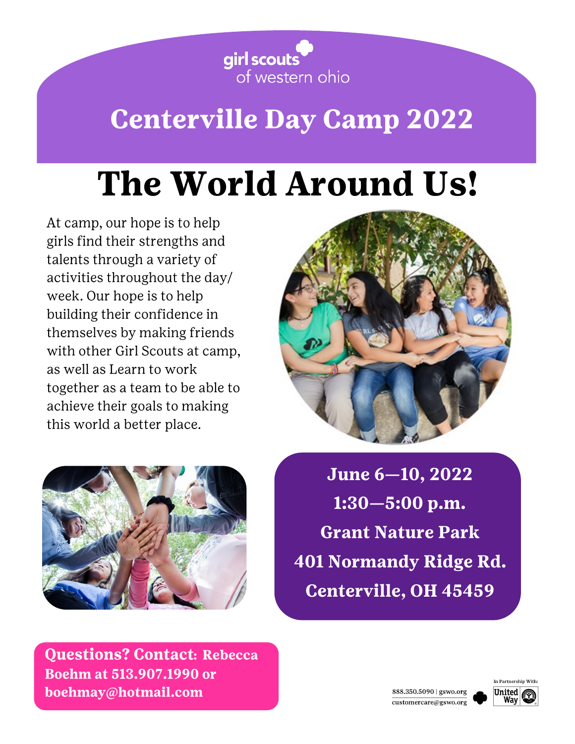

## **Centerville Day Camp 2022**

# The World Around Us!

At camp, our hope is to help girls find their strengths and talents through a variety of activities throughout the day/ week. Our hope is to help building their confidence in themselves by making friends with other Girl Scouts at camp, as well as Learn to work together as a team to be able to achieve their goals to making this world a better place.





June 6-10, 2022  $1:30 - 5:00$  p.m. **Grant Nature Park 401 Normandy Ridge Rd. Centerville, OH 45459** 

**Questions? Contact: Rebecca** Boehm at 513,907,1990 or boehmay@hotmail.com



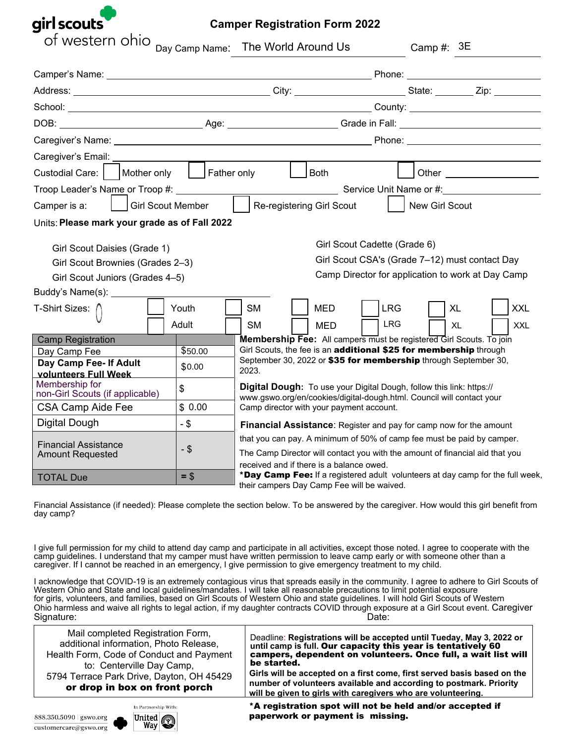

| of western ohio                                                                                                | Day Camp Name: The World Around Us                                                                                                   |                                                                                                                                                                                                    |  |                                                                                                                              |            |                | Camp #: $3E$ |    |            |
|----------------------------------------------------------------------------------------------------------------|--------------------------------------------------------------------------------------------------------------------------------------|----------------------------------------------------------------------------------------------------------------------------------------------------------------------------------------------------|--|------------------------------------------------------------------------------------------------------------------------------|------------|----------------|--------------|----|------------|
|                                                                                                                |                                                                                                                                      |                                                                                                                                                                                                    |  |                                                                                                                              |            |                |              |    |            |
|                                                                                                                |                                                                                                                                      |                                                                                                                                                                                                    |  |                                                                                                                              |            |                |              |    |            |
|                                                                                                                |                                                                                                                                      |                                                                                                                                                                                                    |  |                                                                                                                              |            |                |              |    |            |
| DOB: __________________________________Age: _________________________Grade in Fall: __________________________ |                                                                                                                                      |                                                                                                                                                                                                    |  |                                                                                                                              |            |                |              |    |            |
|                                                                                                                |                                                                                                                                      |                                                                                                                                                                                                    |  |                                                                                                                              |            |                |              |    |            |
|                                                                                                                |                                                                                                                                      |                                                                                                                                                                                                    |  |                                                                                                                              |            |                |              |    |            |
| Custodial Care:     Mother only     Father only                                                                |                                                                                                                                      |                                                                                                                                                                                                    |  | Both                                                                                                                         |            |                |              |    |            |
|                                                                                                                |                                                                                                                                      |                                                                                                                                                                                                    |  |                                                                                                                              |            |                |              |    |            |
| Girl Scout Member<br>Camper is a:                                                                              |                                                                                                                                      |                                                                                                                                                                                                    |  | Re-registering Girl Scout                                                                                                    |            | New Girl Scout |              |    |            |
| Units: Please mark your grade as of Fall 2022                                                                  |                                                                                                                                      |                                                                                                                                                                                                    |  |                                                                                                                              |            |                |              |    |            |
| Girl Scout Daisies (Grade 1)<br>Girl Scout Brownies (Grades 2-3)<br>Girl Scout Juniors (Grades 4-5)            | Girl Scout Cadette (Grade 6)<br>Girl Scout CSA's (Grade 7-12) must contact Day<br>Camp Director for application to work at Day Camp  |                                                                                                                                                                                                    |  |                                                                                                                              |            |                |              |    |            |
| Buddy's Name(s): __________<br>T-Shirt Sizes: /                                                                | Youth                                                                                                                                | <b>SM</b>                                                                                                                                                                                          |  | <b>MED</b>                                                                                                                   | <b>LRG</b> |                | <b>XL</b>    |    | <b>XXL</b> |
|                                                                                                                | Adult                                                                                                                                | <b>SM</b>                                                                                                                                                                                          |  | <b>MED</b>                                                                                                                   | LRG.       |                |              | XL | <b>XXL</b> |
| <b>Camp Registration</b>                                                                                       |                                                                                                                                      |                                                                                                                                                                                                    |  | Membership Fee: All campers must be registered Girl Scouts. To join                                                          |            |                |              |    |            |
| Day Camp Fee                                                                                                   | Girl Scouts, the fee is an additional \$25 for membership through<br>September 30, 2022 or \$35 for membership through September 30, |                                                                                                                                                                                                    |  |                                                                                                                              |            |                |              |    |            |
| Day Camp Fee- If Adult<br>volunteers Full Week                                                                 | \$0.00                                                                                                                               | 2023.                                                                                                                                                                                              |  |                                                                                                                              |            |                |              |    |            |
| Membership for<br>non-Girl Scouts (if applicable)                                                              | \$                                                                                                                                   | Digital Dough: To use your Digital Dough, follow this link: https://<br>www.gswo.org/en/cookies/digital-dough.html. Council will contact your                                                      |  |                                                                                                                              |            |                |              |    |            |
| <b>CSA Camp Aide Fee</b>                                                                                       | \$0.00                                                                                                                               | Camp director with your payment account.                                                                                                                                                           |  |                                                                                                                              |            |                |              |    |            |
| Digital Dough                                                                                                  | $-$ \$                                                                                                                               |                                                                                                                                                                                                    |  | <b>Financial Assistance:</b> Register and pay for camp now for the amount                                                    |            |                |              |    |            |
| <b>Financial Assistance</b><br><b>Amount Requested</b>                                                         | $-$ \$                                                                                                                               | that you can pay. A minimum of 50% of camp fee must be paid by camper.<br>The Camp Director will contact you with the amount of financial aid that you<br>received and if there is a balance owed. |  |                                                                                                                              |            |                |              |    |            |
| <b>TOTAL Due</b>                                                                                               | $=$ \$                                                                                                                               |                                                                                                                                                                                                    |  | *Day Camp Fee: If a registered adult volunteers at day camp for the full week,<br>their campers Day Camp Fee will be waived. |            |                |              |    |            |

Financial Assistance (if needed): Please complete the section below. To be answered by the caregiver. How would this girl benefit from day camp?

I give full permission for my child to attend day camp and participate in all activities, except those noted. I agree to cooperate with the camp guidelines. I understand that my camper must have written permission to leave camp early or with someone other than a caregiver. If I cannot be reached in an emergency, I give permission to give emergency treatment to my child.

I acknowledge that COVID-19 is an extremely contagious virus that spreads easily in the community. I agree to adhere to Girl Scouts of Western Ohio and State and local guidelines/mandates. I will take all reasonable precautions to limit potential exposure for girls, volunteers, and families, based on Girl Scouts of Western Ohio and state guidelines. I will hold Girl Scouts of Western Ohio harmless and waive all rights to legal action, if my daughter contracts COVID through exposure at a Girl Scout event. Caregiver Signature: Date: Date: Date: Date: Date: Date: Date: Date: Date: Date: Date: Date: Date: Date: Date: Date: Date: Date: Date: Date: Date: Date: Date: Date: Date: Date: Date: Date: Date: Date: Date: Date: Date: Date: Date: D

| Mail completed Registration Form,         | Deadline: Registrations will be accepted until Tueday, May 3, 2022 or   |
|-------------------------------------------|-------------------------------------------------------------------------|
| additional information, Photo Release,    | until camp is full. Our capacity this year is tentatively 60            |
| Health Form, Code of Conduct and Payment  | campers, dependent on volunteers. Once full, a wait list will           |
| to: Centerville Day Camp,                 | be started.                                                             |
| 5794 Terrace Park Drive, Dayton, OH 45429 | Girls will be accepted on a first come, first served basis based on the |
| or drop in box on front porch             | number of volunteers available and according to postmark. Priority      |
|                                           | will be given to girls with caregivers who are volunteering.            |
| In Partnership With:                      | *A registration spot will not be held and/or accepted if                |
| 888.350.5090 gswo.org <b>Inited</b>       | paperwork or payment is missing.                                        |

 $\overline{\text{customercare@gswo.org}}$ 

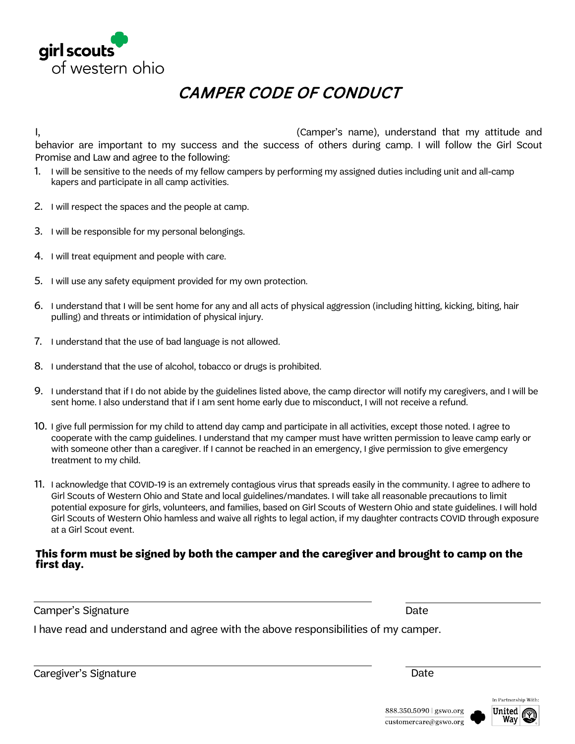

### CAMPER CODE OF CONDUCT

I, (Camper's name), understand that my attitude and behavior are important to my success and the success of others during camp. I will follow the Girl Scout Promise and Law and agree to the following:

- 1. I will be sensitive to the needs of my fellow campers by performing my assigned duties including unit and all-camp kapers and participate in all camp activities.
- 2. I will respect the spaces and the people at camp.
- 3. I will be responsible for my personal belongings.
- 4. I will treat equipment and people with care.
- 5. I will use any safety equipment provided for my own protection.
- 6. I understand that I will be sent home for any and all acts of physical aggression (including hitting, kicking, biting, hair pulling) and threats or intimidation of physical injury.
- 7. I understand that the use of bad language is not allowed.
- 8. I understand that the use of alcohol, tobacco or drugs is prohibited.
- 9. I understand that if I do not abide by the guidelines listed above, the camp director will notify my caregivers, and I will be sent home. I also understand that if I am sent home early due to misconduct, I will not receive a refund.
- 10. I give full permission for my child to attend day camp and participate in all activities, except those noted. I agree to cooperate with the camp guidelines. I understand that my camper must have written permission to leave camp early or with someone other than a caregiver. If I cannot be reached in an emergency, I give permission to give emergency treatment to my child.
- 11. I acknowledge that COVID-19 is an extremely contagious virus that spreads easily in the community. I agree to adhere to Girl Scouts of Western Ohio and State and local guidelines/mandates. I will take all reasonable precautions to limit potential exposure for girls, volunteers, and families, based on Girl Scouts of Western Ohio and state guidelines. I will hold Girl Scouts of Western Ohio hamless and waive all rights to legal action, if my daughter contracts COVID through exposure at a Girl Scout event.

#### **This form must be signed by both the camper and the caregiver and brought to camp on the first day.**

Camper's Signature Date (2008) and the Date of the Date of the Date of the Date of the Date of the Date of the

I have read and understand and agree with the above responsibilities of my camper.

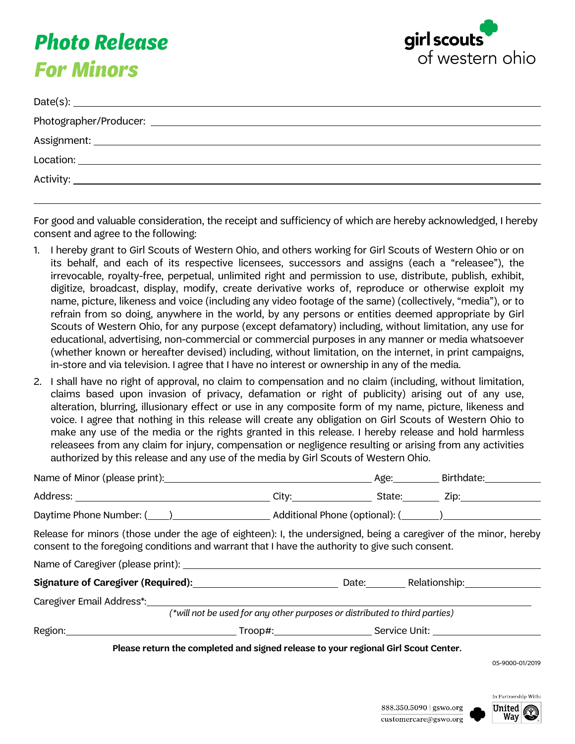## **Photo Release For Minors**



| Date(s): $\overline{\phantom{a}}$ |
|-----------------------------------|
|                                   |
|                                   |
|                                   |
|                                   |
|                                   |

For good and valuable consideration, the receipt and sufficiency of which are hereby acknowledged, I hereby consent and agree to the following:

- 1. I hereby grant to Girl Scouts of Western Ohio, and others working for Girl Scouts of Western Ohio or on its behalf, and each of its respective licensees, successors and assigns (each a "releasee"), the irrevocable, royalty-free, perpetual, unlimited right and permission to use, distribute, publish, exhibit, digitize, broadcast, display, modify, create derivative works of, reproduce or otherwise exploit my name, picture, likeness and voice (including any video footage of the same) (collectively, "media"), or to refrain from so doing, anywhere in the world, by any persons or entities deemed appropriate by Girl Scouts of Western Ohio, for any purpose (except defamatory) including, without limitation, any use for educational, advertising, non-commercial or commercial purposes in any manner or media whatsoever (whether known or hereafter devised) including, without limitation, on the internet, in print campaigns, in-store and via television. I agree that I have no interest or ownership in any of the media.
- 2. I shall have no right of approval, no claim to compensation and no claim (including, without limitation, claims based upon invasion of privacy, defamation or right of publicity) arising out of any use, alteration, blurring, illusionary effect or use in any composite form of my name, picture, likeness and voice. I agree that nothing in this release will create any obligation on Girl Scouts of Western Ohio to make any use of the media or the rights granted in this release. I hereby release and hold harmless releasees from any claim for injury, compensation or negligence resulting or arising from any activities authorized by this release and any use of the media by Girl Scouts of Western Ohio.

| Name of Minor (please print): Mame of Minor (please print): Name of Minor (please print):                                                                                                                           |                                                                            |  |                 |
|---------------------------------------------------------------------------------------------------------------------------------------------------------------------------------------------------------------------|----------------------------------------------------------------------------|--|-----------------|
|                                                                                                                                                                                                                     |                                                                            |  |                 |
| Daytime Phone Number: (1, 2002) Additional Phone (optional): (2, 2008) 2012 2022 2023                                                                                                                               |                                                                            |  |                 |
| Release for minors (those under the age of eighteen): I, the undersigned, being a caregiver of the minor, hereby<br>consent to the foregoing conditions and warrant that I have the authority to give such consent. |                                                                            |  |                 |
|                                                                                                                                                                                                                     |                                                                            |  |                 |
|                                                                                                                                                                                                                     |                                                                            |  |                 |
| Caregiver Email Address*:                                                                                                                                                                                           |                                                                            |  |                 |
|                                                                                                                                                                                                                     | (*will not be used for any other purposes or distributed to third parties) |  |                 |
|                                                                                                                                                                                                                     |                                                                            |  |                 |
| Please return the completed and signed release to your regional Girl Scout Center.                                                                                                                                  |                                                                            |  |                 |
|                                                                                                                                                                                                                     |                                                                            |  | 05-9000-01/2019 |

05-9000-01/2019

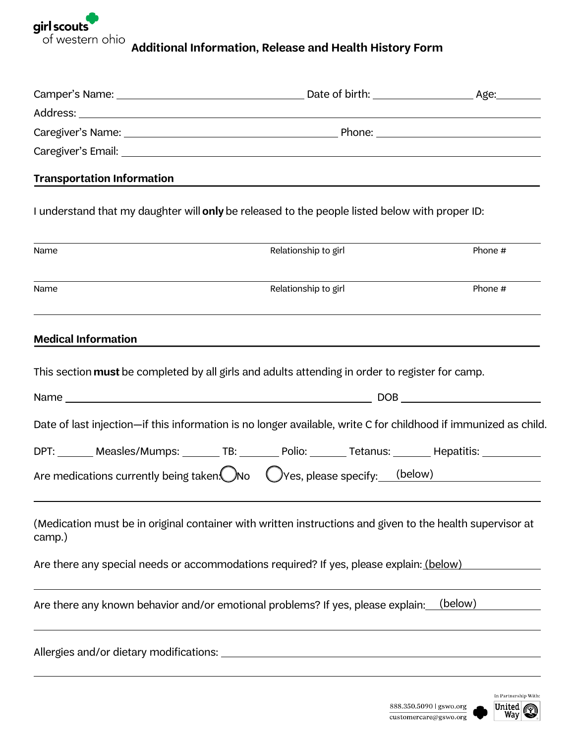

**Additional Information, Release and Health History Form**

| <b>Transportation Information</b> |                                                                                                                 |         |
|-----------------------------------|-----------------------------------------------------------------------------------------------------------------|---------|
|                                   | I understand that my daughter will only be released to the people listed below with proper ID:                  |         |
| Name                              | Relationship to girl                                                                                            | Phone # |
| Name                              | Relationship to girl                                                                                            | Phone # |
| <b>Medical Information</b>        |                                                                                                                 |         |
|                                   | This section must be completed by all girls and adults attending in order to register for camp.                 |         |
|                                   |                                                                                                                 |         |
|                                   | Date of last injection-if this information is no longer available, write C for childhood if immunized as child. |         |
|                                   | DPT: Measles/Mumps: TB: Polio: Tetanus: Hepatitis: Measles/Mumps: TB: Polio: Tetanus: Nepatitis:                |         |
|                                   | Are medications currently being taken. No $\bigcirc$ Yes, please specify: (below)                               |         |
| camp.)                            | (Medication must be in original container with written instructions and given to the health supervisor at       |         |
|                                   | Are there any special needs or accommodations required? If yes, please explain: (below)                         |         |
|                                   | Are there any known behavior and/or emotional problems? If yes, please explain:                                 | (below) |
|                                   |                                                                                                                 |         |